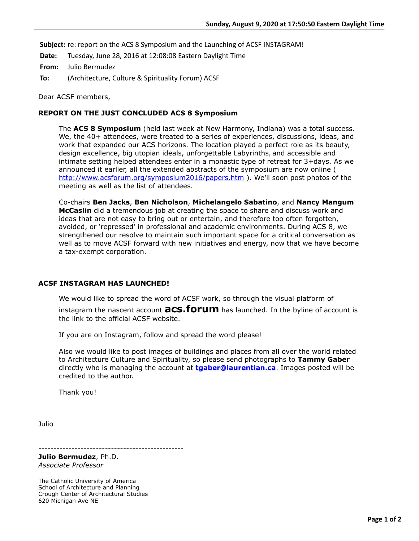**Subject:** re: report on the ACS 8 Symposium and the Launching of ACSF INSTAGRAM!

**Date:** Tuesday, June 28, 2016 at 12:08:08 Eastern Daylight Time

**From:** Julio Bermudez

**To:** (Architecture, Culture & Spirituality Forum) ACSF

Dear ACSF members,

## **REPORT ON THE JUST CONCLUDED ACS 8 Symposium**

The **ACS 8 Symposium** (held last week at New Harmony, Indiana) was a total success. We, the 40+ attendees, were treated to a series of experiences, discussions, ideas, and work that expanded our ACS horizons. The location played a perfect role as its beauty, design excellence, big utopian ideals, unforgettable Labyrinths**,** and accessible and intimate setting helped attendees enter in a monastic type of retreat for 3+days. As we announced it earlier, all the extended abstracts of the symposium are now online ( <http://www.acsforum.org/symposium2016/papers.htm>). We'll soon post photos of the meeting as well as the list of attendees.

Co-chairs **Ben Jacks**, **Ben Nicholson**, **Michelangelo Sabatino**, and **Nancy Mangum McCaslin** did a tremendous job at creating the space to share and discuss work and ideas that are not easy to bring out or entertain, and therefore too often forgotten, avoided, or 'repressed' in professional and academic environments. During ACS 8, we strengthened our resolve to maintain such important space for a critical conversation as well as to move ACSF forward with new initiatives and energy, now that we have become a tax-exempt corporation.

## **ACSF INSTAGRAM HAS LAUNCHED!**

We would like to spread the word of ACSF work, so through the visual platform of instagram the nascent account **acs.forum** has launched. In the byline of account is the link to the official ACSF website.

If you are on Instagram, follow and spread the word please!

Also we would like to post images of buildings and places from all over the world related to Architecture Culture and Spirituality, so please send photographs to **Tammy Gaber** directly who is managing the account at **[tgaber@laurentian.ca](applewebdata://0EE38609-371B-4969-BD52-271AC8147F7A/tgaber@laurentian.ca)**. Images posted will be credited to the author.

Thank you!

Julio

------------------------------------------------

**Julio Bermudez**, Ph.D. *Associate Professor*

The Catholic University of America School of Architecture and Planning Crough Center of Architectural Studies 620 Michigan Ave NE